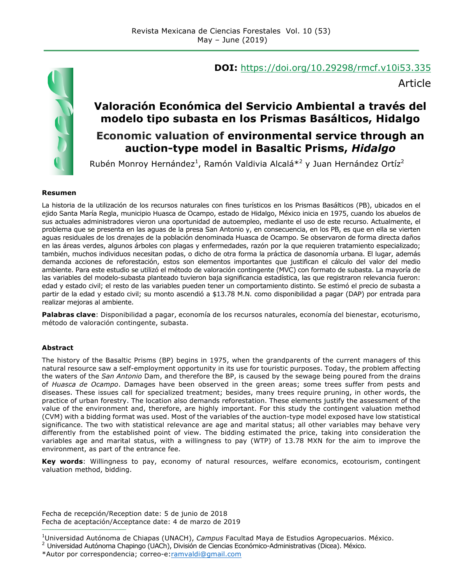

## **DOI:** https://doi.org/10.29298/rmcf.v10i53.335

Article

## **Valoración Económica del Servicio Ambiental a través del modelo tipo subasta en los Prismas Basálticos, Hidalgo Economic valuation of environmental service through an auction-type model in Basaltic Prisms,** *Hidalgo*

Rubén Monroy Hernández<sup>1</sup>, Ramón Valdivia Alcalá $*^2$  y Juan Hernández Ortíz<sup>2</sup>

#### **Resumen**

La historia de la utilización de los recursos naturales con fines turísticos en los Prismas Basálticos (PB), ubicados en el ejido Santa María Regla, municipio Huasca de Ocampo, estado de Hidalgo, México inicia en 1975, cuando los abuelos de sus actuales administradores vieron una oportunidad de autoempleo, mediante el uso de este recurso. Actualmente, el problema que se presenta en las aguas de la presa San Antonio y, en consecuencia, en los PB, es que en ella se vierten aguas residuales de los drenajes de la población denominada Huasca de Ocampo. Se observaron de forma directa daños en las áreas verdes, algunos árboles con plagas y enfermedades, razón por la que requieren tratamiento especializado; también, muchos individuos necesitan podas, o dicho de otra forma la práctica de dasonomía urbana. El lugar, además demanda acciones de reforestación, estos son elementos importantes que justifican el cálculo del valor del medio ambiente. Para este estudio se utilizó el método de valoración contingente (MVC) con formato de subasta. La mayoría de las variables del modelo-subasta planteado tuvieron baja significancia estadística, las que registraron relevancia fueron: edad y estado civil; el resto de las variables pueden tener un comportamiento distinto. Se estimó el precio de subasta a partir de la edad y estado civil; su monto ascendió a \$13.78 M.N. como disponibilidad a pagar (DAP) por entrada para realizar mejoras al ambiente.

**Palabras clave**: Disponibilidad a pagar, economía de los recursos naturales, economía del bienestar, ecoturismo, método de valoración contingente, subasta.

#### **Abstract**

The history of the Basaltic Prisms (BP) begins in 1975, when the grandparents of the current managers of this natural resource saw a self-employment opportunity in its use for touristic purposes. Today, the problem affecting the waters of the *San Antonio* Dam, and therefore the BP, is caused by the sewage being poured from the drains of *Huasca de Ocampo*. Damages have been observed in the green areas; some trees suffer from pests and diseases. These issues call for specialized treatment; besides, many trees require pruning, in other words, the practice of urban forestry. The location also demands reforestation. These elements justify the assessment of the value of the environment and, therefore, are highly important. For this study the contingent valuation method (CVM) with a bidding format was used. Most of the variables of the auction-type model exposed have low statistical significance. The two with statistical relevance are age and marital status; all other variables may behave very differently from the established point of view. The bidding estimated the price, taking into consideration the variables age and marital status, with a willingness to pay (WTP) of 13.78 MXN for the aim to improve the environment, as part of the entrance fee.

**Key words**: Willingness to pay, economy of natural resources, welfare economics, ecotourism, contingent valuation method, bidding.

Fecha de recepción/Reception date: 5 de junio de 2018 Fecha de aceptación/Acceptance date: 4 de marzo de 2019 **\_\_\_\_\_\_\_\_\_\_\_\_\_\_\_\_\_\_\_\_\_\_\_\_\_\_\_\_\_\_\_**

<sup>1</sup> Universidad Autónoma de Chiapas (UNACH), *Campus* Facultad Maya de Estudios Agropecuarios. México.

<sup>&</sup>lt;sup>2</sup> Universidad Autónoma Chapingo (UACh), División de Ciencias Económico-Administrativas (Dicea). México.

<sup>\*</sup>Autor por correspondencia; correo-e:ramvaldi@gmail.com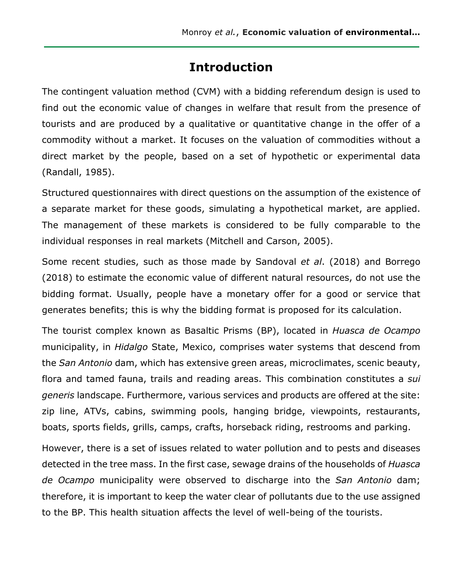## **Introduction**

The contingent valuation method (CVM) with a bidding referendum design is used to find out the economic value of changes in welfare that result from the presence of tourists and are produced by a qualitative or quantitative change in the offer of a commodity without a market. It focuses on the valuation of commodities without a direct market by the people, based on a set of hypothetic or experimental data (Randall, 1985).

Structured questionnaires with direct questions on the assumption of the existence of a separate market for these goods, simulating a hypothetical market, are applied. The management of these markets is considered to be fully comparable to the individual responses in real markets (Mitchell and Carson, 2005).

Some recent studies, such as those made by Sandoval *et al*. (2018) and Borrego (2018) to estimate the economic value of different natural resources, do not use the bidding format. Usually, people have a monetary offer for a good or service that generates benefits; this is why the bidding format is proposed for its calculation.

The tourist complex known as Basaltic Prisms (BP), located in *Huasca de Ocampo* municipality, in *Hidalgo* State, Mexico, comprises water systems that descend from the *San Antonio* dam, which has extensive green areas, microclimates, scenic beauty, flora and tamed fauna, trails and reading areas. This combination constitutes a *sui generis* landscape. Furthermore, various services and products are offered at the site: zip line, ATVs, cabins, swimming pools, hanging bridge, viewpoints, restaurants, boats, sports fields, grills, camps, crafts, horseback riding, restrooms and parking.

However, there is a set of issues related to water pollution and to pests and diseases detected in the tree mass. In the first case, sewage drains of the households of *Huasca de Ocampo* municipality were observed to discharge into the *San Antonio* dam; therefore, it is important to keep the water clear of pollutants due to the use assigned to the BP. This health situation affects the level of well-being of the tourists.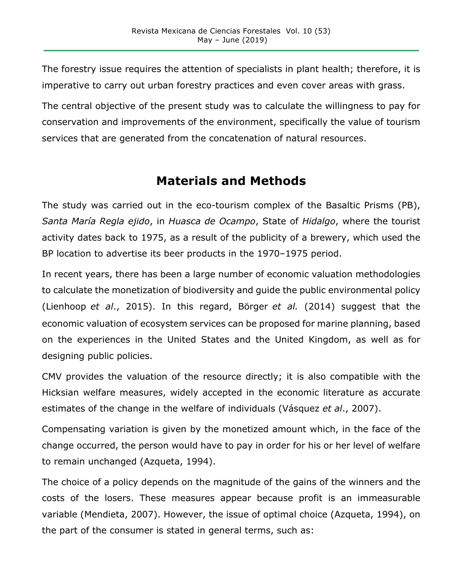The forestry issue requires the attention of specialists in plant health; therefore, it is imperative to carry out urban forestry practices and even cover areas with grass.

The central objective of the present study was to calculate the willingness to pay for conservation and improvements of the environment, specifically the value of tourism services that are generated from the concatenation of natural resources.

## **Materials and Methods**

The study was carried out in the eco-tourism complex of the Basaltic Prisms (PB), *Santa María Regla ejido*, in *Huasca de Ocampo*, State of *Hidalgo*, where the tourist activity dates back to 1975, as a result of the publicity of a brewery, which used the BP location to advertise its beer products in the 1970–1975 period.

In recent years, there has been a large number of economic valuation methodologies to calculate the monetization of biodiversity and guide the public environmental policy (Lienhoop *et al*., 2015). In this regard, Börger *et al.* (2014) suggest that the economic valuation of ecosystem services can be proposed for marine planning, based on the experiences in the United States and the United Kingdom, as well as for designing public policies.

CMV provides the valuation of the resource directly; it is also compatible with the Hicksian welfare measures, widely accepted in the economic literature as accurate estimates of the change in the welfare of individuals (Vásquez *et al*., 2007).

Compensating variation is given by the monetized amount which, in the face of the change occurred, the person would have to pay in order for his or her level of welfare to remain unchanged (Azqueta, 1994).

The choice of a policy depends on the magnitude of the gains of the winners and the costs of the losers. These measures appear because profit is an immeasurable variable (Mendieta, 2007). However, the issue of optimal choice (Azqueta, 1994), on the part of the consumer is stated in general terms, such as: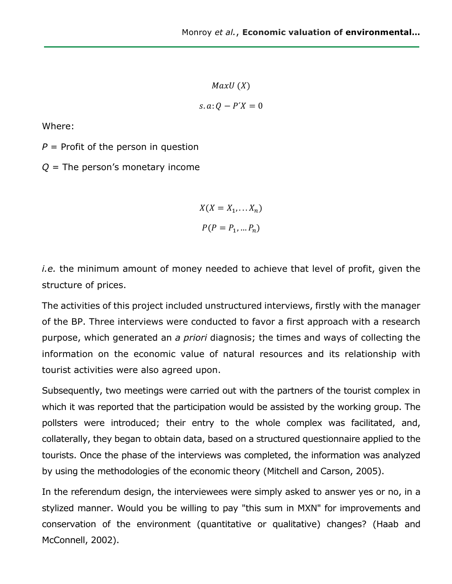$MaxU(X)$  $s. a: Q - P'X = 0$ 

Where:

 $P =$  Profit of the person in question

*Q* = The person's monetary income

$$
X(X = X_1, \dots, X_n)
$$

$$
P(P = P_1, \dots, P_n)
$$

*i.e.* the minimum amount of money needed to achieve that level of profit, given the structure of prices.

The activities of this project included unstructured interviews, firstly with the manager of the BP. Three interviews were conducted to favor a first approach with a research purpose, which generated an *a priori* diagnosis; the times and ways of collecting the information on the economic value of natural resources and its relationship with tourist activities were also agreed upon.

Subsequently, two meetings were carried out with the partners of the tourist complex in which it was reported that the participation would be assisted by the working group. The pollsters were introduced; their entry to the whole complex was facilitated, and, collaterally, they began to obtain data, based on a structured questionnaire applied to the tourists. Once the phase of the interviews was completed, the information was analyzed by using the methodologies of the economic theory (Mitchell and Carson, 2005).

In the referendum design, the interviewees were simply asked to answer yes or no, in a stylized manner. Would you be willing to pay "this sum in MXN" for improvements and conservation of the environment (quantitative or qualitative) changes? (Haab and McConnell, 2002).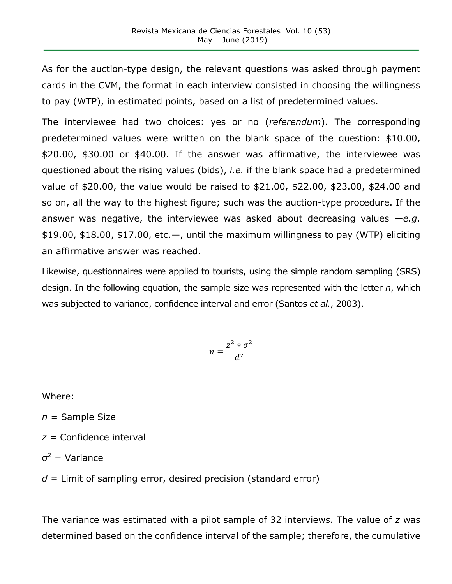As for the auction-type design, the relevant questions was asked through payment cards in the CVM, the format in each interview consisted in choosing the willingness to pay (WTP), in estimated points, based on a list of predetermined values.

The interviewee had two choices: yes or no (*referendum*). The corresponding predetermined values were written on the blank space of the question: \$10.00, \$20.00, \$30.00 or \$40.00. If the answer was affirmative, the interviewee was questioned about the rising values (bids), *i.e.* if the blank space had a predetermined value of \$20.00, the value would be raised to \$21.00, \$22.00, \$23.00, \$24.00 and so on, all the way to the highest figure; such was the auction-type procedure. If the answer was negative, the interviewee was asked about decreasing values —*e.g*.  $$19.00, $18.00, $17.00, etc.$  until the maximum willingness to pay (WTP) eliciting an affirmative answer was reached.

Likewise, questionnaires were applied to tourists, using the simple random sampling (SRS) design. In the following equation, the sample size was represented with the letter *n*, which was subjected to variance, confidence interval and error (Santos *et al.*, 2003).

$$
n = \frac{z^2 * \sigma^2}{d^2}
$$

Where:

*n* = Sample Size

- *z* = Confidence interval
- $σ<sup>2</sup> = Variance$

*d* = Limit of sampling error, desired precision (standard error)

The variance was estimated with a pilot sample of 32 interviews. The value of *z* was determined based on the confidence interval of the sample; therefore, the cumulative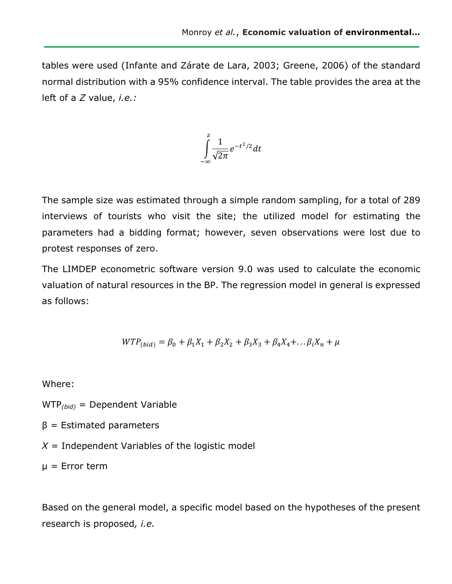tables were used (Infante and Zárate de Lara, 2003; Greene, 2006) of the standard normal distribution with a 95% confidence interval. The table provides the area at the left of a *Z* value, *i.e.:*



The sample size was estimated through a simple random sampling, for a total of 289 interviews of tourists who visit the site; the utilized model for estimating the parameters had a bidding format; however, seven observations were lost due to protest responses of zero.

The LIMDEP econometric software version 9.0 was used to calculate the economic valuation of natural resources in the BP. The regression model in general is expressed as follows:

$$
WTP_{(bid)} = \beta_0 + \beta_1 X_1 + \beta_2 X_2 + \beta_3 X_3 + \beta_4 X_4 + \dots + \beta_i X_n + \mu
$$

Where:

WTP*(bid)* = Dependent Variable

 $β =$  Estimated parameters

 $X =$  Independent Variables of the logistic model

 $\mu$  = Error term

Based on the general model, a specific model based on the hypotheses of the present research is proposed*, i.e.*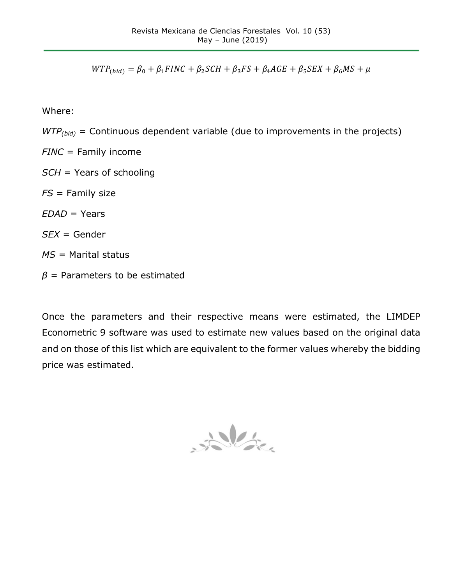$WTP_{(bid)} = \beta_0 + \beta_1 FINC + \beta_2 SCH + \beta_3 FS + \beta_4 AGE + \beta_5 SEX + \beta_6 MS + \mu$ 

Where:

- *WTP<sub>(bid)</sub>* = Continuous dependent variable (due to improvements in the projects)
- *FINC* = Family income *SCH* = Years of schooling *FS* = Family size *EDAD* = Years *SEX* = Gender *MS* = Marital status
- *β* = Parameters to be estimated

Once the parameters and their respective means were estimated, the LIMDEP Econometric 9 software was used to estimate new values based on the original data and on those of this list which are equivalent to the former values whereby the bidding price was estimated.

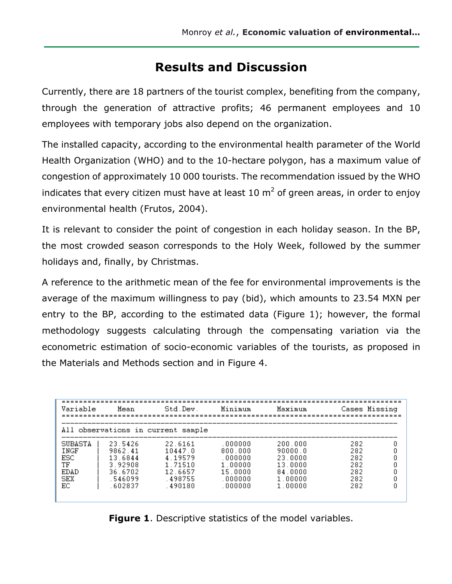## **Results and Discussion**

Currently, there are 18 partners of the tourist complex, benefiting from the company, through the generation of attractive profits; 46 permanent employees and 10 employees with temporary jobs also depend on the organization.

The installed capacity, according to the environmental health parameter of the World Health Organization (WHO) and to the 10-hectare polygon, has a maximum value of congestion of approximately 10 000 tourists. The recommendation issued by the WHO indicates that every citizen must have at least 10  $m<sup>2</sup>$  of green areas, in order to enjoy environmental health (Frutos, 2004).

It is relevant to consider the point of congestion in each holiday season. In the BP, the most crowded season corresponds to the Holy Week, followed by the summer holidays and, finally, by Christmas.

A reference to the arithmetic mean of the fee for environmental improvements is the average of the maximum willingness to pay (bid), which amounts to 23.54 MXN per entry to the BP, according to the estimated data (Figure 1); however, the formal methodology suggests calculating through the compensating variation via the econometric estimation of socio-economic variables of the tourists, as proposed in the Materials and Methods section and in Figure 4.

| Variable                                                 | Mean                                                                      | Std.Dev.                                                                 | Minimum                                                                     | Maximum                                                                   | Cases Missing                                 |  |  |  |  |
|----------------------------------------------------------|---------------------------------------------------------------------------|--------------------------------------------------------------------------|-----------------------------------------------------------------------------|---------------------------------------------------------------------------|-----------------------------------------------|--|--|--|--|
| All observations in current sample                       |                                                                           |                                                                          |                                                                             |                                                                           |                                               |  |  |  |  |
| SUBASTA<br>INGF<br>ESC<br>TF<br><b>EDAD</b><br>SEX<br>ЕC | 23.5426<br>9862.41<br>13.6844<br>3.92908<br>36.6702<br>.546099<br>.602837 | 22.6161<br>10447.0<br>4 19579<br>1 71510<br>12.6657<br>498755<br>.490180 | . 000000<br>800.000<br>.000000<br>1.00000<br>15.0000<br>.000000<br>. 000000 | 200.000<br>90000.0<br>23.0000<br>13.0000<br>84.0000<br>1.00000<br>1.00000 | 282<br>282<br>282<br>282<br>282<br>282<br>282 |  |  |  |  |

**Figure 1**. Descriptive statistics of the model variables.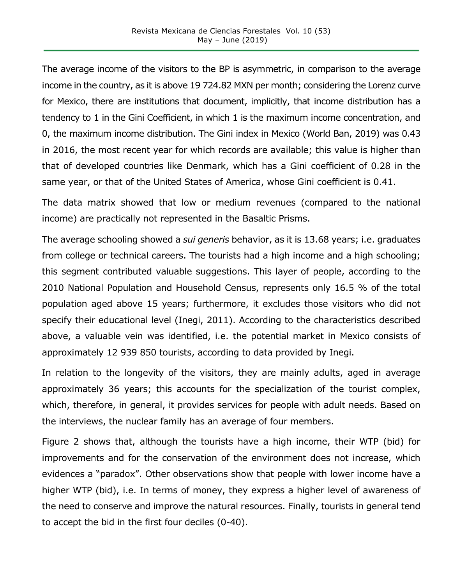The average income of the visitors to the BP is asymmetric, in comparison to the average income in the country, as it is above 19 724.82 MXN per month; considering the Lorenz curve for Mexico, there are institutions that document, implicitly, that income distribution has a tendency to 1 in the Gini Coefficient, in which 1 is the maximum income concentration, and 0, the maximum income distribution. The Gini index in Mexico (World Ban, 2019) was 0.43 in 2016, the most recent year for which records are available; this value is higher than that of developed countries like Denmark, which has a Gini coefficient of 0.28 in the same year, or that of the United States of America, whose Gini coefficient is 0.41.

The data matrix showed that low or medium revenues (compared to the national income) are practically not represented in the Basaltic Prisms.

The average schooling showed a *sui generis* behavior, as it is 13.68 years; i.e. graduates from college or technical careers. The tourists had a high income and a high schooling; this segment contributed valuable suggestions. This layer of people, according to the 2010 National Population and Household Census, represents only 16.5 % of the total population aged above 15 years; furthermore, it excludes those visitors who did not specify their educational level (Inegi, 2011). According to the characteristics described above, a valuable vein was identified, i.e. the potential market in Mexico consists of approximately 12 939 850 tourists, according to data provided by Inegi.

In relation to the longevity of the visitors, they are mainly adults, aged in average approximately 36 years; this accounts for the specialization of the tourist complex, which, therefore, in general, it provides services for people with adult needs. Based on the interviews, the nuclear family has an average of four members.

Figure 2 shows that, although the tourists have a high income, their WTP (bid) for improvements and for the conservation of the environment does not increase, which evidences a "paradox". Other observations show that people with lower income have a higher WTP (bid), i.e. In terms of money, they express a higher level of awareness of the need to conserve and improve the natural resources. Finally, tourists in general tend to accept the bid in the first four deciles (0-40).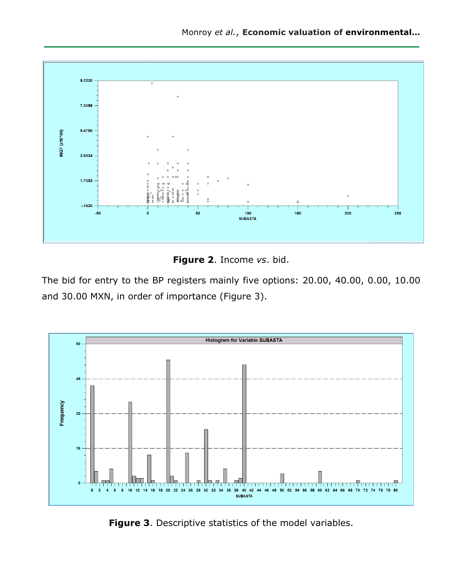

**Figure 2**. Income *vs*. bid.

The bid for entry to the BP registers mainly five options: 20.00, 40.00, 0.00, 10.00 and 30.00 MXN, in order of importance (Figure 3).



**Figure 3**. Descriptive statistics of the model variables.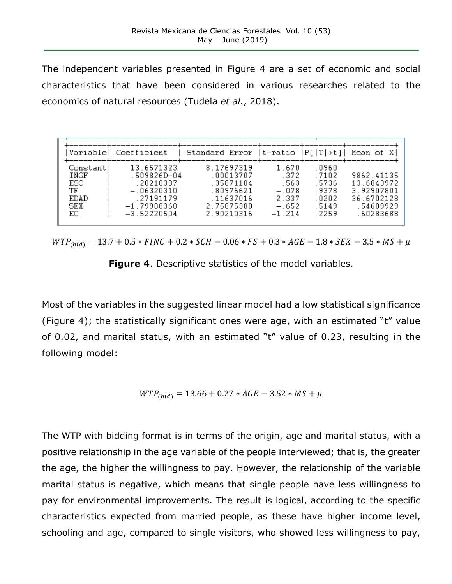The independent variables presented in Figure 4 are a set of economic and social characteristics that have been considered in various researches related to the economics of natural resources (Tudela *et al.*, 2018).

| Variable                                                     | Coefficient                                                                                           | Standard Error $ t$ -ratio $ P[ T >t] $                                                    |                                                                   |                                                             | Mean of X)                                                                     |
|--------------------------------------------------------------|-------------------------------------------------------------------------------------------------------|--------------------------------------------------------------------------------------------|-------------------------------------------------------------------|-------------------------------------------------------------|--------------------------------------------------------------------------------|
| Constantl<br>INGF<br>ESC.<br>TF<br>EDAD<br><b>SEX</b><br>EC. | 13.6571323<br>.509826D-04<br>.20210387<br>$-.06320310$<br>.27191179<br>$-1.79908360$<br>$-3.52220504$ | 8.17697319<br>.00013707<br>.35871104<br>.80976621<br>.11637016<br>2.75875380<br>2.90210316 | 1.670<br>.372<br>. 563<br>$-.078$<br>2.337<br>$-.652$<br>$-1.214$ | .0960<br>.7102<br>.5736<br>.9378<br>.0202<br>5149<br>. 2259 | 9862.41135<br>13.6843972<br>3.92907801<br>36.6702128<br>.54609929<br>.60283688 |

 $WTP_{(bid)} = 13.7 + 0.5 * FINC + 0.2 * SCH - 0.06 * FS + 0.3 * AGE - 1.8 * SEX - 3.5 * MS + \mu$ 

**Figure 4**. Descriptive statistics of the model variables.

Most of the variables in the suggested linear model had a low statistical significance (Figure 4); the statistically significant ones were age, with an estimated "t" value of 0.02, and marital status, with an estimated "t" value of 0.23, resulting in the following model:

$$
WTP_{(bid)} = 13.66 + 0.27 * AGE - 3.52 * MS + \mu
$$

The WTP with bidding format is in terms of the origin, age and marital status, with a positive relationship in the age variable of the people interviewed; that is, the greater the age, the higher the willingness to pay. However, the relationship of the variable marital status is negative, which means that single people have less willingness to pay for environmental improvements. The result is logical, according to the specific characteristics expected from married people, as these have higher income level, schooling and age, compared to single visitors, who showed less willingness to pay,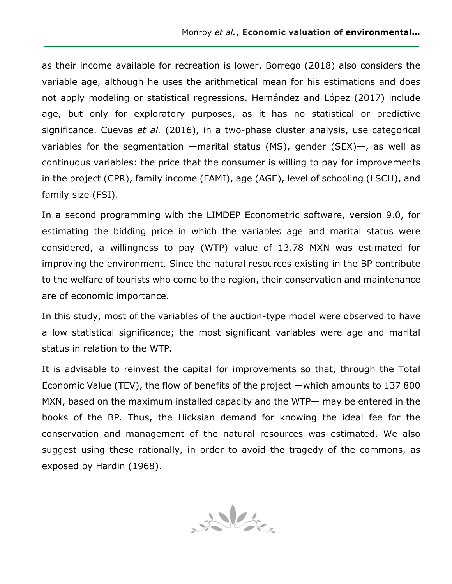as their income available for recreation is lower. Borrego (2018) also considers the variable age, although he uses the arithmetical mean for his estimations and does not apply modeling or statistical regressions. Hernández and López (2017) include age, but only for exploratory purposes, as it has no statistical or predictive significance. Cuevas *et al.* (2016), in a two-phase cluster analysis, use categorical variables for the segmentation —marital status (MS), gender (SEX)—, as well as continuous variables: the price that the consumer is willing to pay for improvements in the project (CPR), family income (FAMI), age (AGE), level of schooling (LSCH), and family size (FSI).

In a second programming with the LIMDEP Econometric software, version 9.0, for estimating the bidding price in which the variables age and marital status were considered, a willingness to pay (WTP) value of 13.78 MXN was estimated for improving the environment. Since the natural resources existing in the BP contribute to the welfare of tourists who come to the region, their conservation and maintenance are of economic importance.

In this study, most of the variables of the auction-type model were observed to have a low statistical significance; the most significant variables were age and marital status in relation to the WTP.

It is advisable to reinvest the capital for improvements so that, through the Total Economic Value (TEV), the flow of benefits of the project —which amounts to 137 800 MXN, based on the maximum installed capacity and the WTP— may be entered in the books of the BP. Thus, the Hicksian demand for knowing the ideal fee for the conservation and management of the natural resources was estimated. We also suggest using these rationally, in order to avoid the tragedy of the commons, as exposed by Hardin (1968).

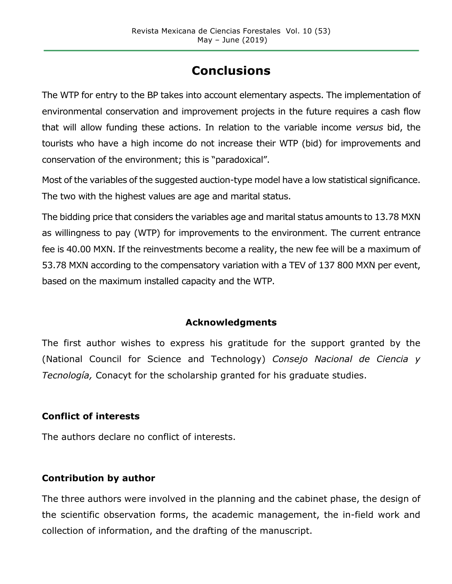# **Conclusions**

The WTP for entry to the BP takes into account elementary aspects. The implementation of environmental conservation and improvement projects in the future requires a cash flow that will allow funding these actions. In relation to the variable income *versus* bid, the tourists who have a high income do not increase their WTP (bid) for improvements and conservation of the environment; this is "paradoxical".

Most of the variables of the suggested auction-type model have a low statistical significance. The two with the highest values are age and marital status.

The bidding price that considers the variables age and marital status amounts to 13.78 MXN as willingness to pay (WTP) for improvements to the environment. The current entrance fee is 40.00 MXN. If the reinvestments become a reality, the new fee will be a maximum of 53.78 MXN according to the compensatory variation with a TEV of 137 800 MXN per event, based on the maximum installed capacity and the WTP.

#### **Acknowledgments**

The first author wishes to express his gratitude for the support granted by the (National Council for Science and Technology) *Consejo Nacional de Ciencia y Tecnología,* Conacyt for the scholarship granted for his graduate studies.

### **Conflict of interests**

The authors declare no conflict of interests.

### **Contribution by author**

The three authors were involved in the planning and the cabinet phase, the design of the scientific observation forms, the academic management, the in-field work and collection of information, and the drafting of the manuscript.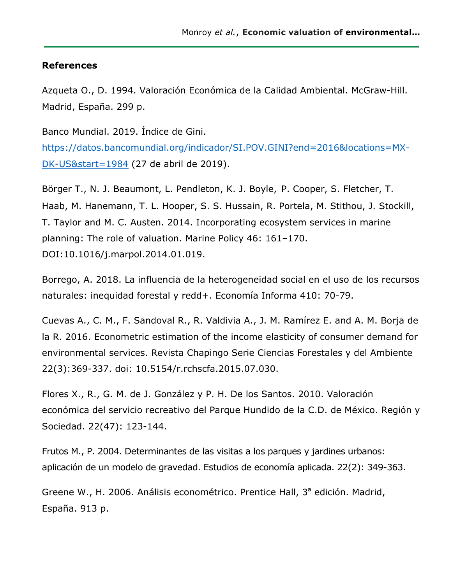#### **References**

Azqueta O., D. 1994. Valoración Económica de la Calidad Ambiental. McGraw-Hill. Madrid, España. 299 p.

Banco Mundial. 2019. Índice de Gini. https://datos.bancomundial.org/indicador/SI.POV.GINI?end=2016&locations=MX-DK-US&start=1984 (27 de abril de 2019).

Börger T., N. J. Beaumont, L. Pendleton, K. J. Boyle, P. Cooper, S. Fletcher, T. Haab, M. Hanemann, T. L. Hooper, S. S. Hussain, R. Portela, M. Stithou, J. Stockill, T. Taylor and M. C. Austen. 2014. Incorporating ecosystem services in marine planning: The role of valuation. Marine Policy 46: 161–170. DOI:10.1016/j.marpol.2014.01.019.

Borrego, A. 2018. La influencia de la heterogeneidad social en el uso de los recursos naturales: inequidad forestal y redd+. Economía Informa 410: 70-79.

Cuevas A., C. M., F. Sandoval R., R. Valdivia A., J. M. Ramírez E. and A. M. Borja de la R. 2016. Econometric estimation of the income elasticity of consumer demand for environmental services. Revista Chapingo Serie Ciencias Forestales y del Ambiente 22(3):369-337. doi: 10.5154/r.rchscfa.2015.07.030.

Flores X., R., G. M. de J. González y P. H. De los Santos. 2010. Valoración económica del servicio recreativo del Parque Hundido de la C.D. de México. Región y Sociedad. 22(47): 123-144.

Frutos M., P. 2004. Determinantes de las visitas a los parques y jardines urbanos: aplicación de un modelo de gravedad. Estudios de economía aplicada. 22(2): 349-363.

Greene W., H. 2006. Análisis econométrico. Prentice Hall, 3<sup>ª</sup> edición. Madrid, España. 913 p.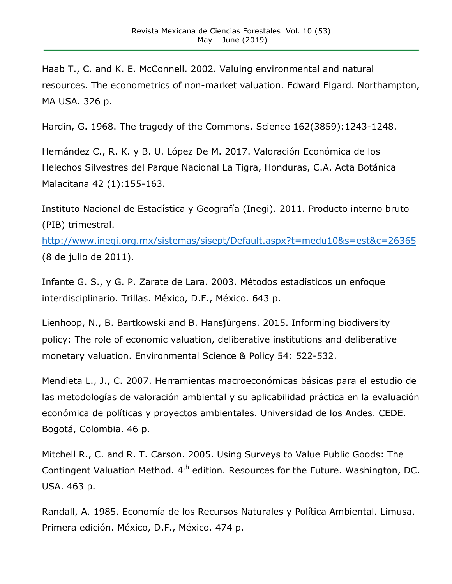Haab T., C. and K. E. McConnell. 2002. Valuing environmental and natural resources. The econometrics of non-market valuation. Edward Elgard. Northampton, MA USA. 326 p.

Hardin, G. 1968. The tragedy of the Commons. Science 162(3859):1243-1248.

Hernández C., R. K. y B. U. López De M. 2017. Valoración Económica de los Helechos Silvestres del Parque Nacional La Tigra, Honduras, C.A. Acta Botánica Malacitana 42 (1):155-163.

Instituto Nacional de Estadística y Geografía (Inegi). 2011. Producto interno bruto (PIB) trimestral.

http://www.inegi.org.mx/sistemas/sisept/Default.aspx?t=medu10&s=est&c=26365 (8 de julio de 2011).

Infante G. S., y G. P. Zarate de Lara. 2003. Métodos estadísticos un enfoque interdisciplinario. Trillas. México, D.F., México. 643 p.

Lienhoop, N., B. Bartkowski and B. Hansj̈ürgens. 2015. Informing biodiversity policy: The role of economic valuation, deliberative institutions and deliberative monetary valuation. Environmental Science & Policy 54: 522-532.

Mendieta L., J., C. 2007. Herramientas macroeconómicas básicas para el estudio de las metodologías de valoración ambiental y su aplicabilidad práctica en la evaluación económica de políticas y proyectos ambientales. Universidad de los Andes. CEDE. Bogotá, Colombia. 46 p.

Mitchell R., C. and R. T. Carson. 2005. Using Surveys to Value Public Goods: The Contingent Valuation Method.  $4<sup>th</sup>$  edition. Resources for the Future. Washington, DC. USA. 463 p.

Randall, A. 1985. Economía de los Recursos Naturales y Política Ambiental. Limusa. Primera edición. México, D.F., México. 474 p.